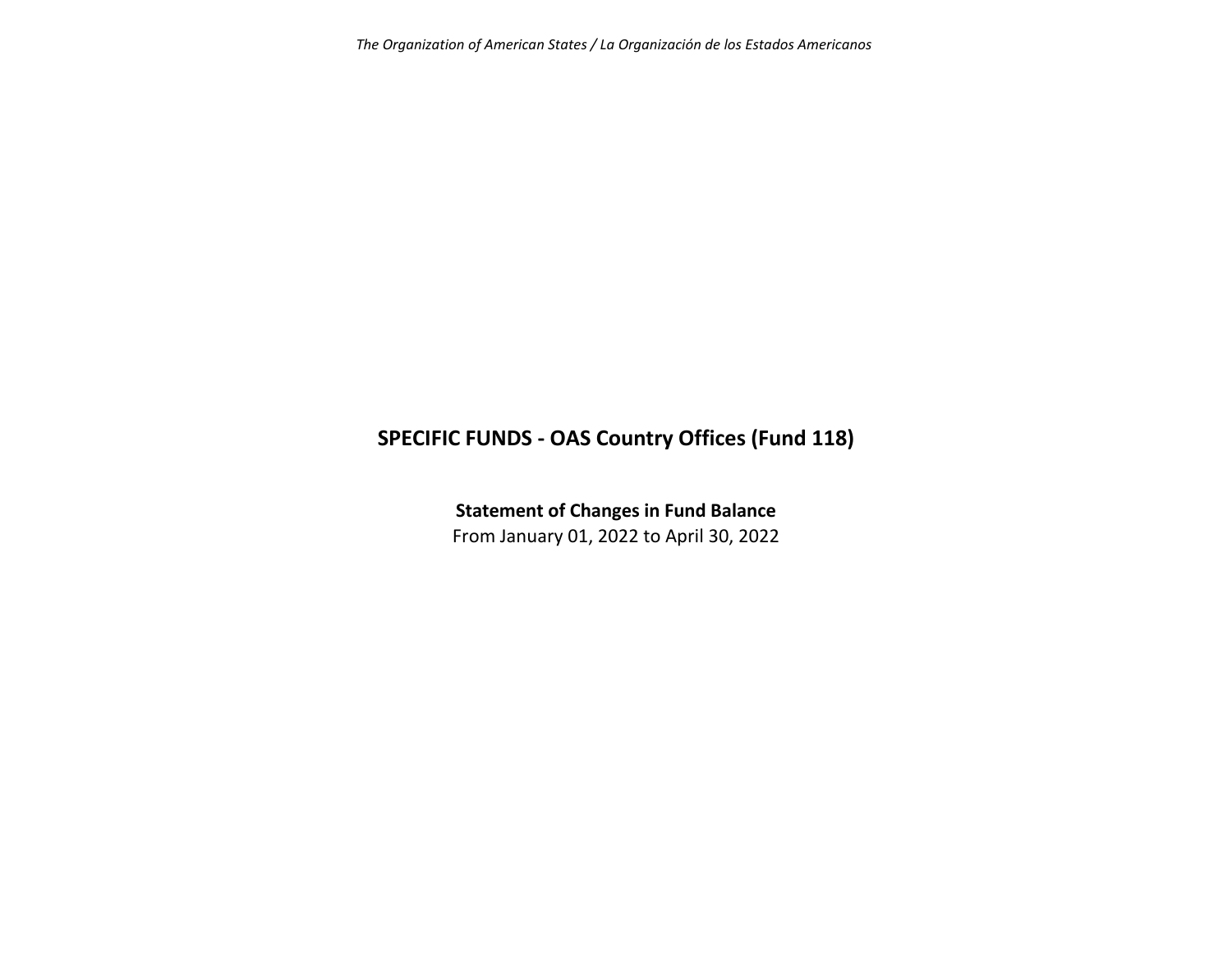*The Organization of American States / La Organización de los Estados Americanos*

## **SPECIFIC FUNDS ‐ OAS Country Offices (Fund 118)**

**Statement of Changes in Fund Balance** From January 01, 2022 to April 30, 2022